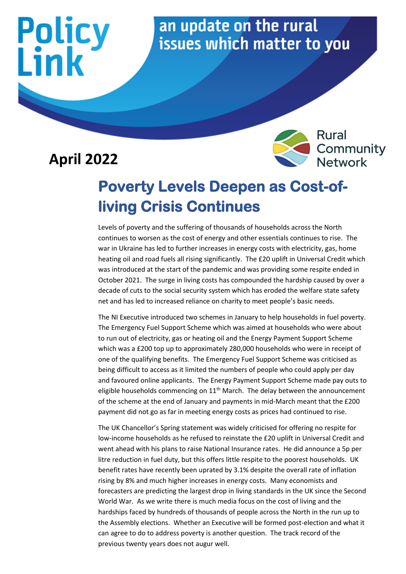#### an update on the rural issues which matter to you

#### **April 2022**

Policy<br>Link



#### **Poverty Levels Deepen as Cost-ofliving Crisis Continues**

Levels of poverty and the suffering of thousands of households across the North continues to worsen as the cost of energy and other essentials continues to rise. The war in Ukraine has led to further increases in energy costs with electricity, gas, home heating oil and road fuels all rising significantly. The £20 uplift in Universal Credit which was introduced at the start of the pandemic and was providing some respite ended in October 2021. The surge in living costs has compounded the hardship caused by over a decade of cuts to the social security system which has eroded the welfare state safety net and has led to increased reliance on charity to meet people's basic needs.

The NI Executive introduced two schemes in January to help households in fuel poverty. The Emergency Fuel Support Scheme which was aimed at households who were about to run out of electricity, gas or heating oil and the Energy Payment Support Scheme which was a £200 top up to approximately 280,000 households who were in receipt of one of the qualifying benefits. The Emergency Fuel Support Scheme was criticised as being difficult to access as it limited the numbers of people who could apply per day and favoured online applicants. The Energy Payment Support Scheme made pay outs to eligible households commencing on  $11<sup>th</sup>$  March. The delay between the announcement of the scheme at the end of January and payments in mid-March meant that the £200 payment did not go as far in meeting energy costs as prices had continued to rise.

The UK Chancellor's Spring statement was widely criticised for offering no respite for low-income households as he refused to reinstate the £20 uplift in Universal Credit and went ahead with his plans to raise National Insurance rates. He did announce a 5p per litre reduction in fuel duty, but this offers little respite to the poorest households. UK benefit rates have recently been uprated by 3.1% despite the overall rate of inflation rising by 8% and much higher increases in energy costs. Many economists and forecasters are predicting the largest drop in living standards in the UK since the Second World War. As we write there is much media focus on the cost of living and the hardships faced by hundreds of thousands of people across the North in the run up to the Assembly elections. Whether an Executive will be formed post-election and what it can agree to do to address poverty is another question. The track record of the previous twenty years does not augur well.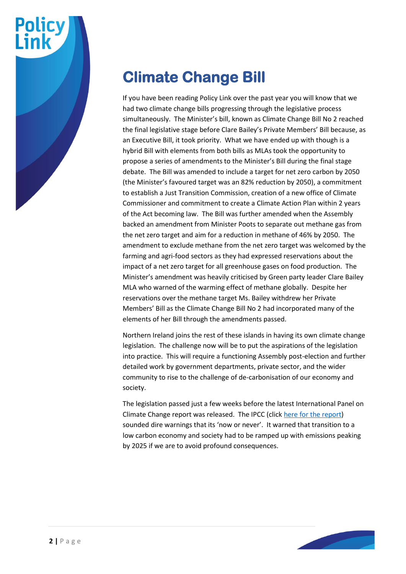

#### **Climate Change Bill**

If you have been reading Policy Link over the past year you will know that we had two climate change bills progressing through the legislative process simultaneously. The Minister's bill, known as Climate Change Bill No 2 reached the final legislative stage before Clare Bailey's Private Members' Bill because, as an Executive Bill, it took priority. What we have ended up with though is a hybrid Bill with elements from both bills as MLAs took the opportunity to propose a series of amendments to the Minister's Bill during the final stage debate. The Bill was amended to include a target for net zero carbon by 2050 (the Minister's favoured target was an 82% reduction by 2050), a commitment to establish a Just Transition Commission, creation of a new office of Climate Commissioner and commitment to create a Climate Action Plan within 2 years of the Act becoming law. The Bill was further amended when the Assembly backed an amendment from Minister Poots to separate out methane gas from the net zero target and aim for a reduction in methane of 46% by 2050. The amendment to exclude methane from the net zero target was welcomed by the farming and agri-food sectors as they had expressed reservations about the impact of a net zero target for all greenhouse gases on food production. The Minister's amendment was heavily criticised by Green party leader Clare Bailey MLA who warned of the warming effect of methane globally. Despite her reservations over the methane target Ms. Bailey withdrew her Private Members' Bill as the Climate Change Bill No 2 had incorporated many of the elements of her Bill through the amendments passed.

Northern Ireland joins the rest of these islands in having its own climate change legislation. The challenge now will be to put the aspirations of the legislation into practice. This will require a functioning Assembly post-election and further detailed work by government departments, private sector, and the wider community to rise to the challenge of de-carbonisation of our economy and society.

The legislation passed just a few weeks before the latest International Panel on Climate Change report was released. The IPCC (click [here](https://www.ipcc.ch/) for the report) sounded dire warnings that its 'now or never'. It warned that transition to a low carbon economy and society had to be ramped up with emissions peaking by 2025 if we are to avoid profound consequences.

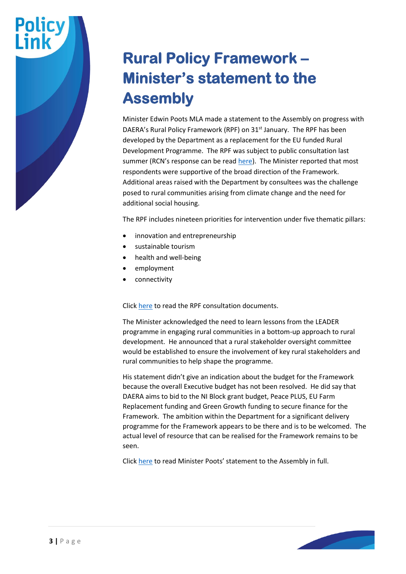#### **Rural Policy Framework – Minister's statement to the Assembly**

Minister Edwin Poots MLA made a statement to the Assembly on progress with DAERA's Rural Policy Framework (RPF) on 31<sup>st</sup> January. The RPF has been developed by the Department as a replacement for the EU funded Rural Development Programme. The RPF was subject to public consultation last summer (RCN's response can be read [here\)](https://www.ruralcommunitynetwork.org/app/uploads/2021/09/20.21.042-Rural-Policy-Framework-NI-Response-Template-final-V2-RCN-final-draft-response.pdf). The Minister reported that most respondents were supportive of the broad direction of the Framework. Additional areas raised with the Department by consultees was the challenge posed to rural communities arising from climate change and the need for additional social housing.

The RPF includes nineteen priorities for intervention under five thematic pillars:

- innovation and entrepreneurship
- sustainable tourism
- health and well-being
- employment
- connectivity

Click [here](https://www.daera-ni.gov.uk/consultations/rural-policy-framework-northern-ireland-consultation) to read the RPF consultation documents.

The Minister acknowledged the need to learn lessons from the LEADER programme in engaging rural communities in a bottom-up approach to rural development. He announced that a rural stakeholder oversight committee would be established to ensure the involvement of key rural stakeholders and rural communities to help shape the programme.

His statement didn't give an indication about the budget for the Framework because the overall Executive budget has not been resolved. He did say that DAERA aims to bid to the NI Block grant budget, Peace PLUS, EU Farm Replacement funding and Green Growth funding to secure finance for the Framework. The ambition within the Department for a significant delivery programme for the Framework appears to be there and is to be welcomed. The actual level of resource that can be realised for the Framework remains to be seen.

Click [here](https://www.theyworkforyou.com/ni/?id=2022-01-31.4.1&p=13901) to read Minister Poots' statement to the Assembly in full.

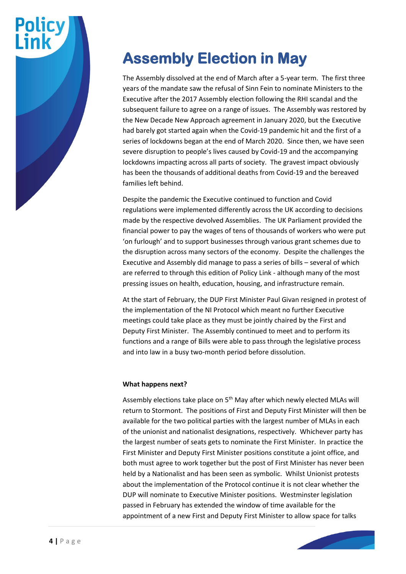# **Policy**

#### **Assembly Election in May**

The Assembly dissolved at the end of March after a 5-year term. The first three years of the mandate saw the refusal of Sinn Fein to nominate Ministers to the Executive after the 2017 Assembly election following the RHI scandal and the subsequent failure to agree on a range of issues. The Assembly was restored by the New Decade New Approach agreement in January 2020, but the Executive had barely got started again when the Covid-19 pandemic hit and the first of a series of lockdowns began at the end of March 2020. Since then, we have seen severe disruption to people's lives caused by Covid-19 and the accompanying lockdowns impacting across all parts of society. The gravest impact obviously has been the thousands of additional deaths from Covid-19 and the bereaved families left behind.

Despite the pandemic the Executive continued to function and Covid regulations were implemented differently across the UK according to decisions made by the respective devolved Assemblies. The UK Parliament provided the financial power to pay the wages of tens of thousands of workers who were put 'on furlough' and to support businesses through various grant schemes due to the disruption across many sectors of the economy. Despite the challenges the Executive and Assembly did manage to pass a series of bills – several of which are referred to through this edition of Policy Link - although many of the most pressing issues on health, education, housing, and infrastructure remain.

At the start of February, the DUP First Minister Paul Givan resigned in protest of the implementation of the NI Protocol which meant no further Executive meetings could take place as they must be jointly chaired by the First and Deputy First Minister. The Assembly continued to meet and to perform its functions and a range of Bills were able to pass through the legislative process and into law in a busy two-month period before dissolution.

#### **What happens next?**

Assembly elections take place on 5<sup>th</sup> May after which newly elected MLAs will return to Stormont. The positions of First and Deputy First Minister will then be available for the two political parties with the largest number of MLAs in each of the unionist and nationalist designations, respectively. Whichever party has the largest number of seats gets to nominate the First Minister. In practice the First Minister and Deputy First Minister positions constitute a joint office, and both must agree to work together but the post of First Minister has never been held by a Nationalist and has been seen as symbolic. Whilst Unionist protests about the implementation of the Protocol continue it is not clear whether the DUP will nominate to Executive Minister positions. Westminster legislation passed in February has extended the window of time available for the appointment of a new First and Deputy First Minister to allow space for talks

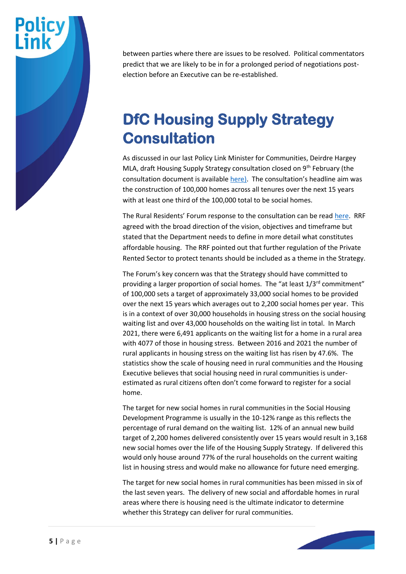## **Policy**

between parties where there are issues to be resolved. Political commentators predict that we are likely to be in for a prolonged period of negotiations postelection before an Executive can be re-established.

#### **DfC Housing Supply Strategy Consultation**

As discussed in our last Policy Link Minister for Communities, Deirdre Hargey MLA, draft Housing Supply Strategy consultation closed on 9<sup>th</sup> February (the consultation document is availabl[e here\)](https://www.communities-ni.gov.uk/consultations/consultation-new-housing-supply-strategy). The consultation's headline aim was the construction of 100,000 homes across all tenures over the next 15 years with at least one third of the 100,000 total to be social homes.

The Rural Residents' Forum response to the consultation can be read [here.](https://www.ruralcommunitynetwork.org/app/uploads/2022/04/Housing-Supply-Strategy-Consultation-feb-2022-RCN-response.pdf) RRF agreed with the broad direction of the vision, objectives and timeframe but stated that the Department needs to define in more detail what constitutes affordable housing. The RRF pointed out that further regulation of the Private Rented Sector to protect tenants should be included as a theme in the Strategy.

The Forum's key concern was that the Strategy should have committed to providing a larger proportion of social homes. The "at least 1/3<sup>rd</sup> commitment" of 100,000 sets a target of approximately 33,000 social homes to be provided over the next 15 years which averages out to 2,200 social homes per year. This is in a context of over 30,000 households in housing stress on the social housing waiting list and over 43,000 households on the waiting list in total. In March 2021, there were 6,491 applicants on the waiting list for a home in a rural area with 4077 of those in housing stress. Between 2016 and 2021 the number of rural applicants in housing stress on the waiting list has risen by 47.6%. The statistics show the scale of housing need in rural communities and the Housing Executive believes that social housing need in rural communities is underestimated as rural citizens often don't come forward to register for a social home.

The target for new social homes in rural communities in the Social Housing Development Programme is usually in the 10-12% range as this reflects the percentage of rural demand on the waiting list. 12% of an annual new build target of 2,200 homes delivered consistently over 15 years would result in 3,168 new social homes over the life of the Housing Supply Strategy. If delivered this would only house around 77% of the rural households on the current waiting list in housing stress and would make no allowance for future need emerging.

The target for new social homes in rural communities has been missed in six of the last seven years. The delivery of new social and affordable homes in rural areas where there is housing need is the ultimate indicator to determine whether this Strategy can deliver for rural communities.

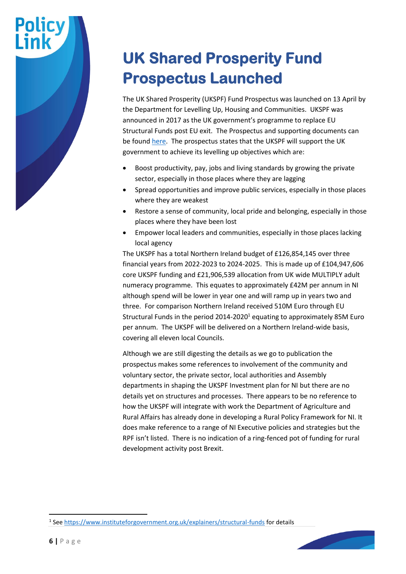#### **UK Shared Prosperity Fund Prospectus Launched**

The UK Shared Prosperity (UKSPF) Fund Prospectus was launched on 13 April by the Department for Levelling Up, Housing and Communities. UKSPF was announced in 2017 as the UK government's programme to replace EU Structural Funds post EU exit. The Prospectus and supporting documents can be foun[d here.](https://www.gov.uk/government/publications/uk-shared-prosperity-fund-prospectus/uk-shared-prosperity-fund-prospectus#ministerial-foreword) The prospectus states that the UKSPF will support the UK government to achieve its levelling up objectives which are:

- Boost productivity, pay, jobs and living standards by growing the private sector, especially in those places where they are lagging
- Spread opportunities and improve public services, especially in those places where they are weakest
- Restore a sense of community, local pride and belonging, especially in those places where they have been lost
- Empower local leaders and communities, especially in those places lacking local agency

The UKSPF has a total Northern Ireland budget of £126,854,145 over three financial years from 2022-2023 to 2024-2025. This is made up of £104,947,606 core UKSPF funding and £21,906,539 allocation from UK wide MULTIPLY adult numeracy programme. This equates to approximately £42M per annum in NI although spend will be lower in year one and will ramp up in years two and three. For comparison Northern Ireland received 510M Euro through EU Structural Funds in the period 2014-2020<sup>1</sup> equating to approximately 85M Euro per annum. The UKSPF will be delivered on a Northern Ireland-wide basis, covering all eleven local Councils.

Although we are still digesting the details as we go to publication the prospectus makes some references to involvement of the community and voluntary sector, the private sector, local authorities and Assembly departments in shaping the UKSPF Investment plan for NI but there are no details yet on structures and processes. There appears to be no reference to how the UKSPF will integrate with work the Department of Agriculture and Rural Affairs has already done in developing a Rural Policy Framework for NI. It does make reference to a range of NI Executive policies and strategies but the RPF isn't listed. There is no indication of a ring-fenced pot of funding for rural development activity post Brexit.

<sup>&</sup>lt;sup>1</sup> See<https://www.instituteforgovernment.org.uk/explainers/structural-funds> for details

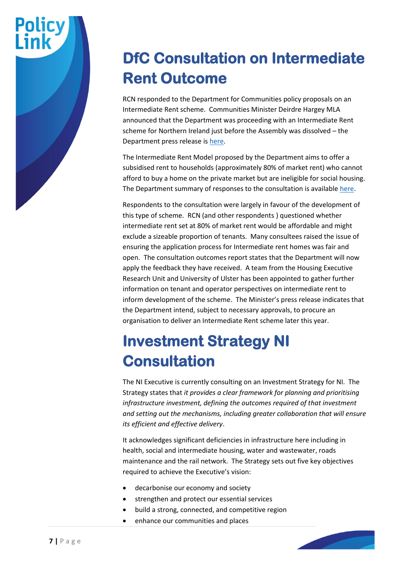#### **DfC Consultation on Intermediate Rent Outcome**

RCN responded to the Department for Communities policy proposals on an Intermediate Rent scheme. Communities Minister Deirdre Hargey MLA announced that the Department was proceeding with an Intermediate Rent scheme for Northern Ireland just before the Assembly was dissolved – the Department press release is [here.](https://www.communities-ni.gov.uk/news/increasing-supply-affordable-homes-rent-hargey)

The Intermediate Rent Model proposed by the Department aims to offer a subsidised rent to households (approximately 80% of market rent) who cannot afford to buy a home on the private market but are ineligible for social housing. The Department summary of responses to the consultation is available [here.](https://www.communities-ni.gov.uk/consultations/consultation-intermediate-rent-development-policy-and-model)

Respondents to the consultation were largely in favour of the development of this type of scheme. RCN (and other respondents ) questioned whether intermediate rent set at 80% of market rent would be affordable and might exclude a sizeable proportion of tenants. Many consultees raised the issue of ensuring the application process for Intermediate rent homes was fair and open. The consultation outcomes report states that the Department will now apply the feedback they have received. A team from the Housing Executive Research Unit and University of Ulster has been appointed to gather further information on tenant and operator perspectives on intermediate rent to inform development of the scheme. The Minister's press release indicates that the Department intend, subject to necessary approvals, to procure an organisation to deliver an Intermediate Rent scheme later this year.

#### **Investment Strategy NI Consultation**

The NI Executive is currently consulting on an Investment Strategy for NI. The Strategy states that *it provides a clear framework for planning and prioritising infrastructure investment, defining the outcomes required of that investment and setting out the mechanisms, including greater collaboration that will ensure its efficient and effective delivery*.

It acknowledges significant deficiencies in infrastructure here including in health, social and intermediate housing, water and wastewater, roads maintenance and the rail network. The Strategy sets out five key objectives required to achieve the Executive's vision:

- decarbonise our economy and society
- strengthen and protect our essential services
- build a strong, connected, and competitive region
- enhance our communities and places

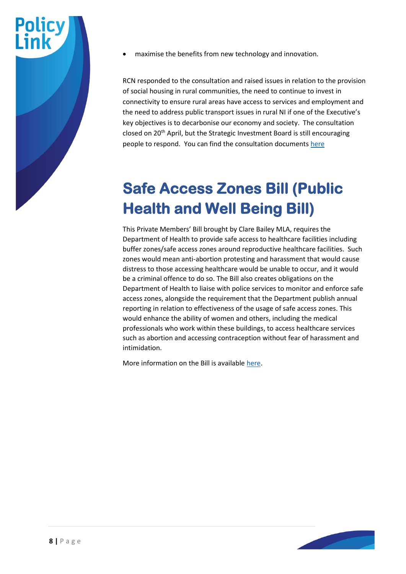

• maximise the benefits from new technology and innovation.

RCN responded to the consultation and raised issues in relation to the provision of social housing in rural communities, the need to continue to invest in connectivity to ensure rural areas have access to services and employment and the need to address public transport issues in rural NI if one of the Executive's key objectives is to decarbonise our economy and society. The consultation closed on 20<sup>th</sup> April, but the Strategic Investment Board is still encouraging people to respond. You can find the consultation documents [here](https://consultations2.nidirect.gov.uk/dof/infrastructure-2050-consultation-document/)

#### **Safe Access Zones Bill (Public Health and Well Being Bill)**

This Private Members' Bill brought by Clare Bailey MLA, requires the Department of Health to provide safe access to healthcare facilities including buffer zones/safe access zones around reproductive healthcare facilities. Such zones would mean anti-abortion protesting and harassment that would cause distress to those accessing healthcare would be unable to occur, and it would be a criminal offence to do so. The Bill also creates obligations on the Department of Health to liaise with police services to monitor and enforce safe access zones, alongside the requirement that the Department publish annual reporting in relation to effectiveness of the usage of safe access zones. This would enhance the ability of women and others, including the medical professionals who work within these buildings, to access healthcare services such as abortion and accessing contraception without fear of harassment and intimidation.

More information on the Bill is availabl[e here.](http://www.niassembly.gov.uk/assembly-business/legislation/2017-2022-mandate/non-executive-bill-proposals/abortion-services-safe-access-zones-bill/)

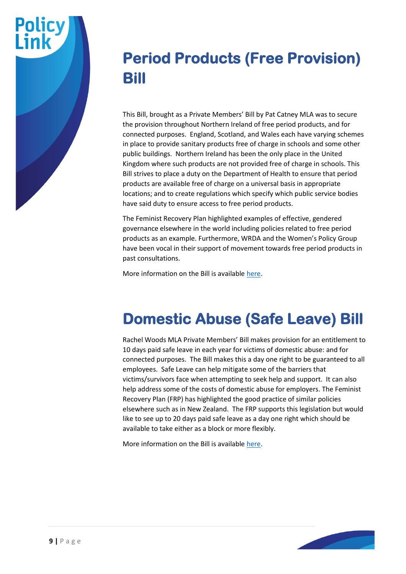

#### **Period Products (Free Provision) Bill**

This Bill, brought as a Private Members' Bill by Pat Catney MLA was to secure the provision throughout Northern Ireland of free period products, and for connected purposes. England, Scotland, and Wales each have varying schemes in place to provide sanitary products free of charge in schools and some other public buildings. Northern Ireland has been the only place in the United Kingdom where such products are not provided free of charge in schools. This Bill strives to place a duty on the Department of Health to ensure that period products are available free of charge on a universal basis in appropriate locations; and to create regulations which specify which public service bodies have said duty to ensure access to free period products.

The Feminist Recovery Plan highlighted examples of effective, gendered governance elsewhere in the world including policies related to free period products as an example. Furthermore, WRDA and the Women's Policy Group have been vocal in their support of movement towards free period products in past consultations.

More information on the Bill is availabl[e here.](http://www.niassembly.gov.uk/assembly-business/legislation/2017-2022-mandate/non-executive-bill-proposals/period-products/)

#### **Domestic Abuse (Safe Leave) Bill**

Rachel Woods MLA Private Members' Bill makes provision for an entitlement to 10 days paid safe leave in each year for victims of domestic abuse: and for connected purposes. The Bill makes this a day one right to be guaranteed to all employees. Safe Leave can help mitigate some of the barriers that victims/survivors face when attempting to seek help and support. It can also help address some of the costs of domestic abuse for employers. The Feminist Recovery Plan (FRP) has highlighted the good practice of similar policies elsewhere such as in New Zealand. The FRP supports this legislation but would like to see up to 20 days paid safe leave as a day one right which should be available to take either as a block or more flexibly.

More information on the Bill is availabl[e here.](http://www.niassembly.gov.uk/assembly-business/legislation/2017-2022-mandate/non-executive-bill-proposals/dom-abuse-safe-leave/)

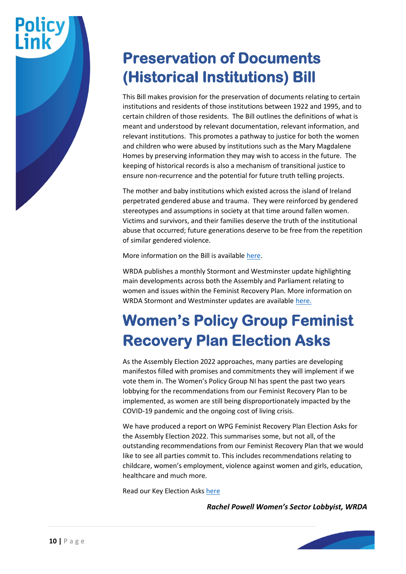#### **Preservation of Documents (Historical Institutions) Bill**

This Bill makes provision for the preservation of documents relating to certain institutions and residents of those institutions between 1922 and 1995, and to certain children of those residents. The Bill outlines the definitions of what is meant and understood by relevant documentation, relevant information, and relevant institutions. This promotes a pathway to justice for both the women and children who were abused by institutions such as the Mary Magdalene Homes by preserving information they may wish to access in the future. The keeping of historical records is also a mechanism of transitional justice to ensure non-recurrence and the potential for future truth telling projects.

The mother and baby institutions which existed across the island of Ireland perpetrated gendered abuse and trauma. They were reinforced by gendered stereotypes and assumptions in society at that time around fallen women. Victims and survivors, and their families deserve the truth of the institutional abuse that occurred; future generations deserve to be free from the repetition of similar gendered violence.

More information on the Bill is availabl[e here.](http://www.niassembly.gov.uk/assembly-business/legislation/2017-2022-mandate/primary-legislation---bills-2017---2022-mandate/preservation-of-documents-historical-institutions-bill/)

WRDA publishes a monthly Stormont and Westminster update highlighting main developments across both the Assembly and Parliament relating to women and issues within the Feminist Recovery Plan. More information on WRDA Stormont and Westminster updates are available [here.](https://wrda.net/lobbying/assembly-update/)

#### **Women's Policy Group Feminist Recovery Plan Election Asks**

As the Assembly Election 2022 approaches, many parties are developing manifestos filled with promises and commitments they will implement if we vote them in. The Women's Policy Group NI has spent the past two years lobbying for the recommendations from our Feminist Recovery Plan to be implemented, as women are still being disproportionately impacted by the COVID-19 pandemic and the ongoing cost of living crisis.

We have produced a report on WPG Feminist Recovery Plan Election Asks for the Assembly Election 2022. This summarises some, but not all, of the outstanding recommendations from our Feminist Recovery Plan that we would like to see all parties commit to. This includes recommendations relating to childcare, women's employment, violence against women and girls, education, healthcare and much more.

Read our Key Election Asks [here](https://wrda.net/wp-content/uploads/2022/04/WPG-FRP-Election-Asks.pdf)

*Rachel Powell Women's Sector Lobbyist, WRDA*

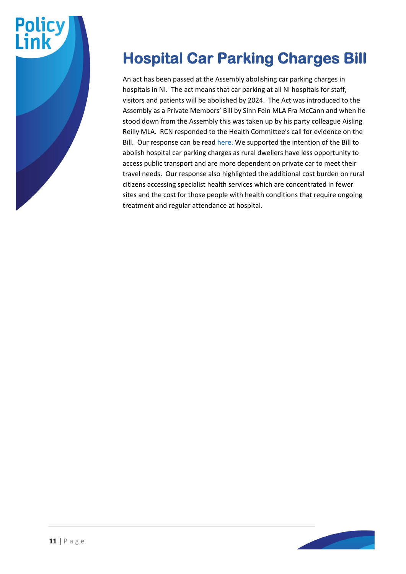

#### **Hospital Car Parking Charges Bill**

An act has been passed at the Assembly abolishing car parking charges in hospitals in NI. The act means that car parking at all NI hospitals for staff, visitors and patients will be abolished by 2024. The Act was introduced to the Assembly as a Private Members' Bill by Sinn Fein MLA Fra McCann and when he stood down from the Assembly this was taken up by his party colleague Aisling Reilly MLA. RCN responded to the Health Committee's call for evidence on the Bill. Our response can be rea[d here.](https://www.ruralcommunitynetwork.org/app/uploads/2022/04/Hospital-bill-charges.pdf) We supported the intention of the Bill to abolish hospital car parking charges as rural dwellers have less opportunity to access public transport and are more dependent on private car to meet their travel needs. Our response also highlighted the additional cost burden on rural citizens accessing specialist health services which are concentrated in fewer sites and the cost for those people with health conditions that require ongoing treatment and regular attendance at hospital.

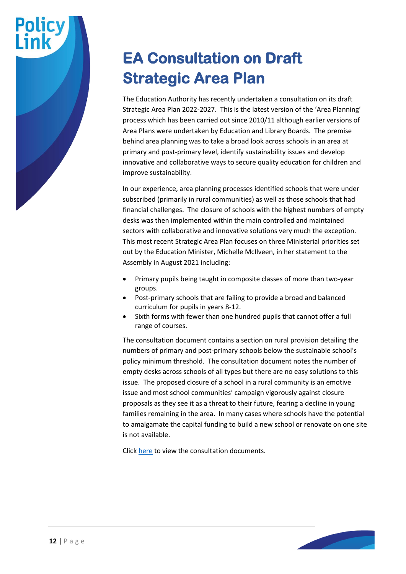#### **EA Consultation on Draft Strategic Area Plan**

The Education Authority has recently undertaken a consultation on its draft Strategic Area Plan 2022-2027. This is the latest version of the 'Area Planning' process which has been carried out since 2010/11 although earlier versions of Area Plans were undertaken by Education and Library Boards. The premise behind area planning was to take a broad look across schools in an area at primary and post-primary level, identify sustainability issues and develop innovative and collaborative ways to secure quality education for children and improve sustainability.

In our experience, area planning processes identified schools that were under subscribed (primarily in rural communities) as well as those schools that had financial challenges. The closure of schools with the highest numbers of empty desks was then implemented within the main controlled and maintained sectors with collaborative and innovative solutions very much the exception. This most recent Strategic Area Plan focuses on three Ministerial priorities set out by the Education Minister, Michelle McIlveen, in her statement to the Assembly in August 2021 including:

- Primary pupils being taught in composite classes of more than two-year groups.
- Post-primary schools that are failing to provide a broad and balanced curriculum for pupils in years 8-12.
- Sixth forms with fewer than one hundred pupils that cannot offer a full range of courses.

The consultation document contains a section on rural provision detailing the numbers of primary and post-primary schools below the sustainable school's policy minimum threshold. The consultation document notes the number of empty desks across schools of all types but there are no easy solutions to this issue. The proposed closure of a school in a rural community is an emotive issue and most school communities' campaign vigorously against closure proposals as they see it as a threat to their future, fearing a decline in young families remaining in the area. In many cases where schools have the potential to amalgamate the capital funding to build a new school or renovate on one site is not available.

Click [here](https://www.eani.org.uk/publications/consultations/public-consultation-on-the-draft-strategic-area-plan-2022-27) to view the consultation documents.